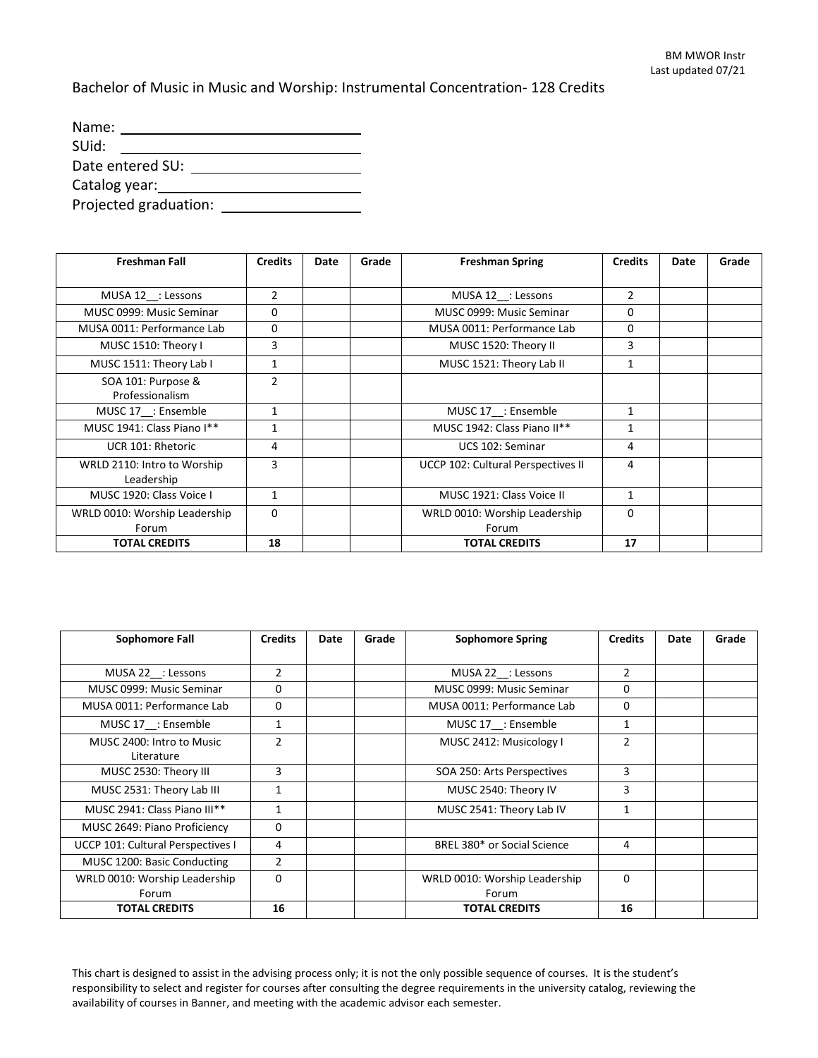Bachelor of Music in Music and Worship: Instrumental Concentration- 128 Credits

| Name:            |                       |  |  |  |  |  |
|------------------|-----------------------|--|--|--|--|--|
| SUid:            |                       |  |  |  |  |  |
| Date entered SU: |                       |  |  |  |  |  |
| Catalog year:    |                       |  |  |  |  |  |
|                  | Projected graduation: |  |  |  |  |  |

| <b>Freshman Fall</b>                      | <b>Credits</b> | Date | Grade | <b>Freshman Spring</b>                 | <b>Credits</b> | Date | Grade |
|-------------------------------------------|----------------|------|-------|----------------------------------------|----------------|------|-------|
|                                           |                |      |       |                                        |                |      |       |
| MUSA 12 : Lessons                         | $\overline{2}$ |      |       | MUSA 12_: Lessons                      | $\overline{2}$ |      |       |
| MUSC 0999: Music Seminar                  | 0              |      |       | MUSC 0999: Music Seminar               | 0              |      |       |
| MUSA 0011: Performance Lab                | 0              |      |       | MUSA 0011: Performance Lab             | 0              |      |       |
| MUSC 1510: Theory I                       | 3              |      |       | MUSC 1520: Theory II                   | 3              |      |       |
| MUSC 1511: Theory Lab I                   | 1              |      |       | MUSC 1521: Theory Lab II               | $\mathbf{1}$   |      |       |
| SOA 101: Purpose &<br>Professionalism     | $\overline{2}$ |      |       |                                        |                |      |       |
| MUSC 17 : Ensemble                        | 1              |      |       | MUSC 17 : Ensemble                     | $\mathbf{1}$   |      |       |
| MUSC 1941: Class Piano I**                | 1              |      |       | MUSC 1942: Class Piano II**            | 1              |      |       |
| UCR 101: Rhetoric                         | 4              |      |       | UCS 102: Seminar                       | 4              |      |       |
| WRLD 2110: Intro to Worship<br>Leadership | 3              |      |       | UCCP 102: Cultural Perspectives II     | 4              |      |       |
| MUSC 1920: Class Voice I                  | 1              |      |       | MUSC 1921: Class Voice II              | $\mathbf{1}$   |      |       |
| WRLD 0010: Worship Leadership<br>Forum    | 0              |      |       | WRLD 0010: Worship Leadership<br>Forum | $\Omega$       |      |       |
| <b>TOTAL CREDITS</b>                      | 18             |      |       | <b>TOTAL CREDITS</b>                   | 17             |      |       |

| Sophomore Fall                          | <b>Credits</b> | Date | Grade | <b>Sophomore Spring</b>                | <b>Credits</b> | Date | Grade |
|-----------------------------------------|----------------|------|-------|----------------------------------------|----------------|------|-------|
|                                         |                |      |       |                                        |                |      |       |
| MUSA 22_: Lessons                       | $\overline{2}$ |      |       | MUSA 22 : Lessons                      | $\overline{2}$ |      |       |
| MUSC 0999: Music Seminar                | 0              |      |       | MUSC 0999: Music Seminar               | 0              |      |       |
| MUSA 0011: Performance Lab              | $\Omega$       |      |       | MUSA 0011: Performance Lab             | $\Omega$       |      |       |
| MUSC 17 : Ensemble                      | 1              |      |       | MUSC 17 : Ensemble                     | 1              |      |       |
| MUSC 2400: Intro to Music<br>Literature | $\overline{2}$ |      |       | MUSC 2412: Musicology I                | $\overline{2}$ |      |       |
| MUSC 2530: Theory III                   | 3              |      |       | SOA 250: Arts Perspectives             | 3              |      |       |
| MUSC 2531: Theory Lab III               | $\mathbf{1}$   |      |       | MUSC 2540: Theory IV                   | 3              |      |       |
| MUSC 2941: Class Piano III**            | $\mathbf{1}$   |      |       | MUSC 2541: Theory Lab IV               | 1              |      |       |
| MUSC 2649: Piano Proficiency            | $\Omega$       |      |       |                                        |                |      |       |
| UCCP 101: Cultural Perspectives I       | 4              |      |       | BREL 380* or Social Science            | 4              |      |       |
| MUSC 1200: Basic Conducting             | $\overline{2}$ |      |       |                                        |                |      |       |
| WRLD 0010: Worship Leadership<br>Forum  | 0              |      |       | WRLD 0010: Worship Leadership<br>Forum | $\Omega$       |      |       |
| <b>TOTAL CREDITS</b>                    | 16             |      |       | <b>TOTAL CREDITS</b>                   | 16             |      |       |

This chart is designed to assist in the advising process only; it is not the only possible sequence of courses. It is the student's responsibility to select and register for courses after consulting the degree requirements in the university catalog, reviewing the availability of courses in Banner, and meeting with the academic advisor each semester.